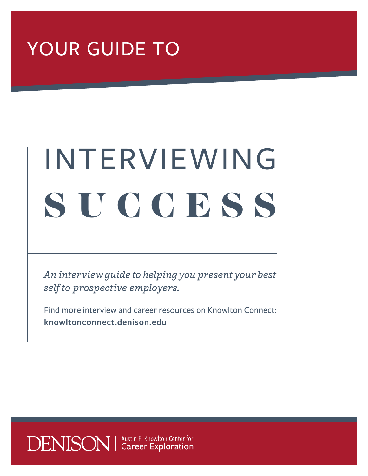## YOUR GUIDE TO

# INTERVIEWING SUCCESS

*An interview guide to helping you present your best self to prospective employers.*

Find more interview and career resources on Knowlton Connect: **knowltonconnect.denison.edu**

**DENISON** | Austin E. Knowlton Center for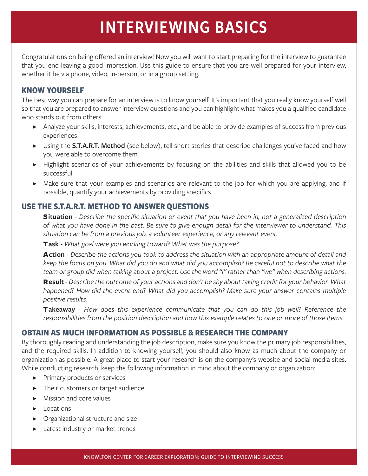### INTERVIEWING BASICS

Congratulations on being offered an interview! Now you will want to start preparing for the interview to guarantee that you end leaving a good impression. Use this guide to ensure that you are well prepared for your interview, whether it be via phone, video, in-person, or in a group setting.

#### **KNOW YOURSELF**

The best way you can prepare for an interview is to know yourself. It's important that you really know yourself well so that you are prepared to answer interview questions and you can highlight what makes you a qualified candidate who stands out from others.

- ▶ Analyze your skills, interests, achievements, etc., and be able to provide examples of success from previous experiences
- ▶ Using the **S.T.A.R.T. Method** (see below), tell short stories that describe challenges you've faced and how you were able to overcome them
- ▶ Highlight scenarios of your achievements by focusing on the abilities and skills that allowed you to be successful
- ▶ Make sure that your examples and scenarios are relevant to the job for which you are applying, and if possible, quantify your achievements by providing specifics

#### **USE THE S.T.A.R.T. METHOD TO ANSWER QUESTIONS**

S**ituation** - *Describe the specific situation or event that you have been in, not a generalized description of what you have done in the past. Be sure to give enough detail for the interviewer to understand. This situation can be from a previous job, a volunteer experience, or any relevant event.*

T**ask** - *What goal were you working toward? What was the purpose?*

A**ction** - *Describe the actions you took to address the situation with an appropriate amount of detail and keep the focus on you. What did you do and what did you accomplish? Be careful not to describe what the team or group did when talking about a project. Use the word "I" rather than "we" when describing actions.*

R**esult** - *Describe the outcome of your actions and don't be shy about taking credit for your behavior. What happened? How did the event end? What did you accomplish? Make sure your answer contains multiple positive results.*

T**akeaway** - *How does this experience communicate that you can do this job well? Reference the responsibilities from the position description and how this example relates to one or more of those items.*

#### **OBTAIN AS MUCH INFORMATION AS POSSIBLE & RESEARCH THE COMPANY**

By thoroughly reading and understanding the job description, make sure you know the primary job responsibilities, and the required skills. In addition to knowing yourself, you should also know as much about the company or organization as possible. A great place to start your research is on the company's website and social media sites. While conducting research, keep the following information in mind about the company or organization:

- ▶ Primary products or services
- ▶ Their customers or target audience
- ▶ Mission and core values
- ▶ Locations
- ▶ Organizational structure and size
- ▶ Latest industry or market trends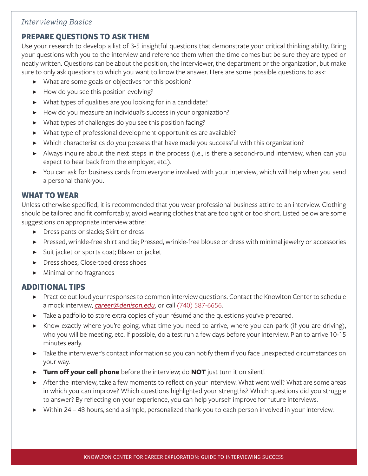#### *Interviewing Basics*

#### **PREPARE QUESTIONS TO ASK THEM**

Use your research to develop a list of 3-5 insightful questions that demonstrate your critical thinking ability. Bring your questions with you to the interview and reference them when the time comes but be sure they are typed or neatly written. Questions can be about the position, the interviewer, the department or the organization, but make sure to only ask questions to which you want to know the answer. Here are some possible questions to ask:

- ▶ What are some goals or objectives for this position?
- ▶ How do you see this position evolving?
- ▶ What types of qualities are you looking for in a candidate?
- ▶ How do you measure an individual's success in your organization?
- ▶ What types of challenges do you see this position facing?
- ▶ What type of professional development opportunities are available?
- ▶ Which characteristics do you possess that have made you successful with this organization?
- ▶ Always inquire about the next steps in the process (i.e., is there a second-round interview, when can you expect to hear back from the employer, etc.).
- ▶ You can ask for business cards from everyone involved with your interview, which will help when you send a personal thank-you.

#### **WHAT TO WEAR**

Unless otherwise specified, it is recommended that you wear professional business attire to an interview. Clothing should be tailored and fit comfortably; avoid wearing clothes that are too tight or too short. Listed below are some suggestions on appropriate interview attire:

- ▶ Dress pants or slacks; Skirt or dress
- ▶ Pressed, wrinkle-free shirt and tie; Pressed, wrinkle-free blouse or dress with minimal jewelry or accessories
- ▶ Suit jacket or sports coat; Blazer or jacket
- ▶ Dress shoes; Close-toed dress shoes
- ▶ Minimal or no fragrances

#### **ADDITIONAL TIPS**

- ▶ Practice out loud your responses to common interview questions. Contact the Knowlton Center to schedule a mock interview, *career@denison.edu*, or call (740) 587-6656.
- ▶ Take a padfolio to store extra copies of your résumé and the questions you've prepared.
- ▶ Know exactly where you're going, what time you need to arrive, where you can park (if you are driving), who you will be meeting, etc. If possible, do a test run a few days before your interview. Plan to arrive 10-15 minutes early.
- ▶ Take the interviewer's contact information so you can notify them if you face unexpected circumstances on your way.
- ▶ **Turn off your cell phone** before the interview; do **NOT** just turn it on silent!
- ▶ After the interview, take a few moments to reflect on your interview. What went well? What are some areas in which you can improve? Which questions highlighted your strengths? Which questions did you struggle to answer? By reflecting on your experience, you can help yourself improve for future interviews.
- ▶ Within 24 48 hours, send a simple, personalized thank-you to each person involved in your interview.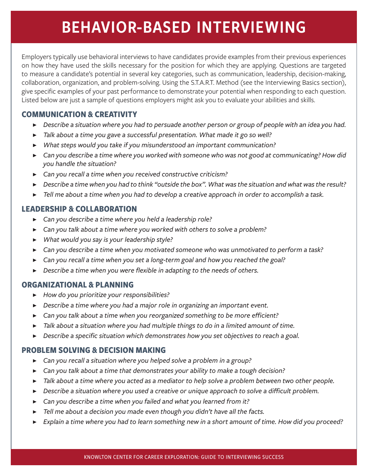### BEHAVIOR-BASED INTERVIEWING

Employers typically use behavioral interviews to have candidates provide examples from their previous experiences on how they have used the skills necessary for the position for which they are applying. Questions are targeted to measure a candidate's potential in several key categories, such as communication, leadership, decision-making, collaboration, organization, and problem-solving. Using the S.T.A.R.T. Method (see the Interviewing Basics section), give specific examples of your past performance to demonstrate your potential when responding to each question. Listed below are just a sample of questions employers might ask you to evaluate your abilities and skills.

#### **COMMUNICATION & CREATIVITY**

- ▶ *Describe a situation where you had to persuade another person or group of people with an idea you had.*
- ▶ *Talk about a time you gave a successful presentation. What made it go so well?*
- ▶ *What steps would you take if you misunderstood an important communication?*
- ▶ *Can you describe a time where you worked with someone who was not good at communicating? How did you handle the situation?*
- ▶ *Can you recall a time when you received constructive criticism?*
- ▶ *Describe a time when you had to think "outside the box". What was the situation and what was the result?*
- ▶ *Tell me about a time when you had to develop a creative approach in order to accomplish a task.*

#### **LEADERSHIP & COLLABORATION**

- ▶ *Can you describe a time where you held a leadership role?*
- ▶ *Can you talk about a time where you worked with others to solve a problem?*
- ▶ *What would you say is your leadership style?*
- ▶ *Can you describe a time when you motivated someone who was unmotivated to perform a task?*
- ▶ *Can you recall a time when you set a long-term goal and how you reached the goal?*
- ▶ *Describe a time when you were flexible in adapting to the needs of others.*

#### **ORGANIZATIONAL & PLANNING**

- ▶ *How do you prioritize your responsibilities?*
- ▶ *Describe a time where you had a major role in organizing an important event.*
- ▶ *Can you talk about a time when you reorganized something to be more efficient?*
- ▶ *Talk about a situation where you had multiple things to do in a limited amount of time.*
- ▶ *Describe a specific situation which demonstrates how you set objectives to reach a goal.*

#### **PROBLEM SOLVING & DECISION MAKING**

- ▶ *Can you recall a situation where you helped solve a problem in a group?*
- ▶ *Can you talk about a time that demonstrates your ability to make a tough decision?*
- ▶ *Talk about a time where you acted as a mediator to help solve a problem between two other people.*
- ▶ *Describe a situation where you used a creative or unique approach to solve a difficult problem.*
- ▶ *Can you describe a time when you failed and what you learned from it?*
- ▶ *Tell me about a decision you made even though you didn't have all the facts.*
- ▶ *Explain a time where you had to learn something new in a short amount of time. How did you proceed?*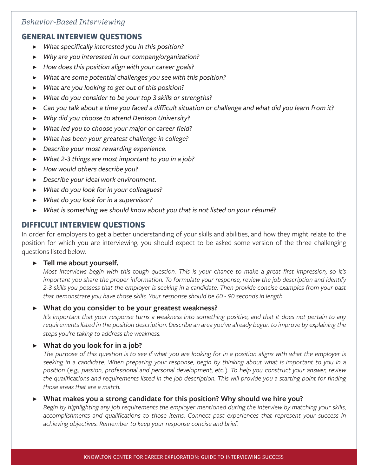#### *Behavior-Based Interviewing*

#### **GENERAL INTERVIEW QUESTIONS**

- ▶ *What specifically interested you in this position?*
- ▶ *Why are you interested in our company/organization?*
- ▶ *How does this position align with your career goals?*
- ▶ *What are some potential challenges you see with this position?*
- ▶ *What are you looking to get out of this position?*
- ▶ *What do you consider to be your top 3 skills or strengths?*
- ▶ *Can you talk about a time you faced a difficult situation or challenge and what did you learn from it?*
- ▶ *Why did you choose to attend Denison University?*
- ▶ *What led you to choose your major or career field?*
- ▶ *What has been your greatest challenge in college?*
- ▶ *Describe your most rewarding experience.*
- ▶ *What 2-3 things are most important to you in a job?*
- ▶ *How would others describe you?*
- ▶ *Describe your ideal work environment.*
- ▶ *What do you look for in your colleagues?*
- ▶ *What do you look for in a supervisor?*
- ▶ *What is something we should know about you that is not listed on your résumé?*

#### **DIFFICULT INTERVIEW QUESTIONS**

In order for employers to get a better understanding of your skills and abilities, and how they might relate to the position for which you are interviewing, you should expect to be asked some version of the three challenging questions listed below.

#### ▶ **Tell me about yourself.**

*Most interviews begin with this tough question. This is your chance to make a great first impression, so it's important you share the proper information. To formulate your response, review the job description and identify 2-3 skills you possess that the employer is seeking in a candidate. Then provide concise examples from your past that demonstrate you have those skills. Your response should be 60 - 90 seconds in length.*

#### ▶ **What do you consider to be your greatest weakness?**

*It's important that your response turns a weakness into something positive, and that it does not pertain to any requirements listed in the position description. Describe an area you've already begun to improve by explaining the steps you're taking to address the weakness.*

#### ▶ **What do you look for in a job?**

*The purpose of this question is to see if what you are looking for in a position aligns with what the employer is seeking in a candidate. When preparing your response, begin by thinking about what is important to you in a position (e.g., passion, professional and personal development, etc.). To help you construct your answer, review the qualifications and requirements listed in the job description. This will provide you a starting point for finding those areas that are a match.*

#### ▶ **What makes you a strong candidate for this position? Why should we hire you?**

*Begin by highlighting any job requirements the employer mentioned during the interview by matching your skills, accomplishments and qualifications to those items. Connect past experiences that represent your success in achieving objectives. Remember to keep your response concise and brief.*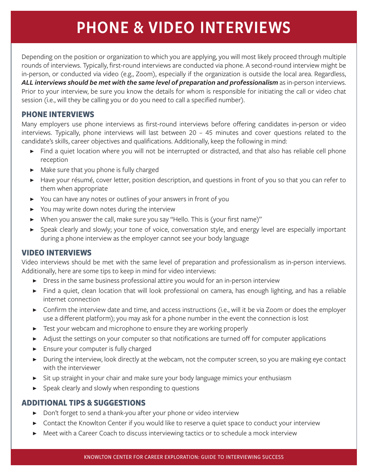### PHONE & VIDEO INTERVIEWS

Depending on the position or organization to which you are applying, you will most likely proceed through multiple rounds of interviews. Typically, first-round interviews are conducted via phone. A second-round interview might be in-person, or conducted via video (e.g., Zoom), especially if the organization is outside the local area. Regardless, *ALL interviews should be met with the same level of preparation and professionalism* as in-person interviews. Prior to your interview, be sure you know the details for whom is responsible for initiating the call or video chat session (i.e., will they be calling you or do you need to call a specified number).

#### **PHONE INTERVIEWS**

Many employers use phone interviews as first-round interviews before offering candidates in-person or video interviews. Typically, phone interviews will last between 20 – 45 minutes and cover questions related to the candidate's skills, career objectives and qualifications. Additionally, keep the following in mind:

- ▶ Find a quiet location where you will not be interrupted or distracted, and that also has reliable cell phone reception
- ▶ Make sure that you phone is fully charged
- ▶ Have your résumé, cover letter, position description, and questions in front of you so that you can refer to them when appropriate
- ▶ You can have any notes or outlines of your answers in front of you
- ▶ You may write down notes during the interview
- ▶ When you answer the call, make sure you say "Hello. This is (your first name)"
- ▶ Speak clearly and slowly; your tone of voice, conversation style, and energy level are especially important during a phone interview as the employer cannot see your body language

#### **VIDEO INTERVIEWS**

Video interviews should be met with the same level of preparation and professionalism as in-person interviews. Additionally, here are some tips to keep in mind for video interviews:

- ▶ Dress in the same business professional attire you would for an in-person interview
- ▶ Find a quiet, clean location that will look professional on camera, has enough lighting, and has a reliable internet connection
- ▶ Confirm the interview date and time, and access instructions (i.e., will it be via Zoom or does the employer use a different platform); you may ask for a phone number in the event the connection is lost
- ▶ Test your webcam and microphone to ensure they are working properly
- ▶ Adjust the settings on your computer so that notifications are turned off for computer applications
- ▶ Ensure your computer is fully charged
- ▶ During the interview, look directly at the webcam, not the computer screen, so you are making eye contact with the interviewer
- ▶ Sit up straight in your chair and make sure your body language mimics your enthusiasm
- ▶ Speak clearly and slowly when responding to questions

#### **ADDITIONAL TIPS & SUGGESTIONS**

- ▶ Don't forget to send a thank-you after your phone or video interview
- ▶ Contact the Knowlton Center if you would like to reserve a quiet space to conduct your interview
- ▶ Meet with a Career Coach to discuss interviewing tactics or to schedule a mock interview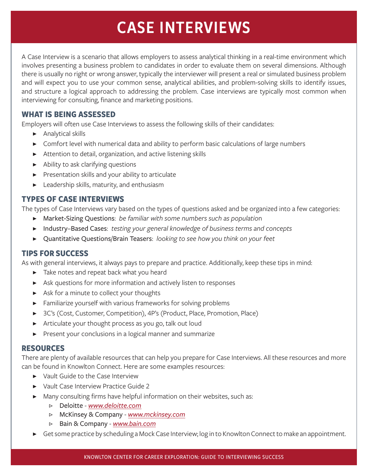### CASE INTERVIEWS

A Case Interview is a scenario that allows employers to assess analytical thinking in a real-time environment which involves presenting a business problem to candidates in order to evaluate them on several dimensions. Although there is usually no right or wrong answer, typically the interviewer will present a real or simulated business problem and will expect you to use your common sense, analytical abilities, and problem-solving skills to identify issues, and structure a logical approach to addressing the problem. Case interviews are typically most common when interviewing for consulting, finance and marketing positions.

#### **WHAT IS BEING ASSESSED**

Employers will often use Case Interviews to assess the following skills of their candidates:

- ▶ Analytical skills
- ▶ Comfort level with numerical data and ability to perform basic calculations of large numbers
- ▶ Attention to detail, organization, and active listening skills
- ▶ Ability to ask clarifying questions
- ▶ Presentation skills and your ability to articulate
- ▶ Leadership skills, maturity, and enthusiasm

#### **TYPES OF CASE INTERVIEWS**

The types of Case Interviews vary based on the types of questions asked and be organized into a few categories:

- ▶ Market-Sizing Questions: *be familiar with some numbers such as populatio*n
- ▶ Industry–Based Cases: *testing your general knowledge of business terms and concepts*
- ▶ Quantitative Questions/Brain Teasers: *looking to see how you think on your feet*

#### **TIPS FOR SUCCESS**

As with general interviews, it always pays to prepare and practice. Additionally, keep these tips in mind:

- ▶ Take notes and repeat back what you heard
- ▶ Ask questions for more information and actively listen to responses
- ▶ Ask for a minute to collect your thoughts
- ▶ Familiarize yourself with various frameworks for solving problems
- ▶ 3C's (Cost, Customer, Competition), 4P's (Product, Place, Promotion, Place)
- ▶ Articulate your thought process as you go, talk out loud
- ▶ Present your conclusions in a logical manner and summarize

#### **RESOURCES**

There are plenty of available resources that can help you prepare for Case Interviews. All these resources and more can be found in Knowlton Connect. Here are some examples resources:

- ▶ Vault Guide to the Case Interview
- ▶ Vault Case Interview Practice Guide 2
- ▶ Many consulting firms have helpful information on their websites, such as:
	- ▷ Deloitte *www.deloitte.com*
	- ▷ McKinsey & Company *www.mckinsey.com*
	- ▷ Bain & Company *www.bain.com*
- Get some practice by scheduling a Mock Case Interview; log in to Knowlton Connect to make an appointment.

#### KNOWLTON CENTER FOR CAREER EXPLORATION: GUIDE TO INTERVIEWING SUCCESS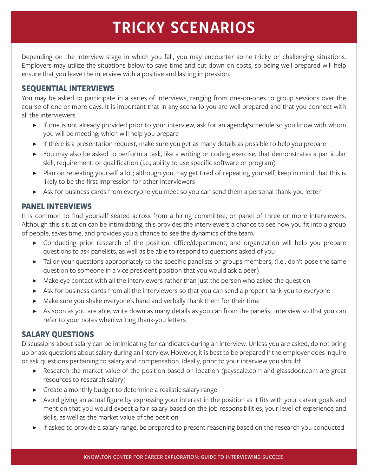### TRICKY SCENARIOS

Depending on the interview stage in which you fall, you may encounter some tricky or challenging situations. Employers may utilize the situations below to save time and cut down on costs, so being well prepared will help ensure that you leave the interview with a positive and lasting impression.

#### **SEQUENTIAL INTERVIEWS**

You may be asked to participate in a series of interviews, ranging from one-on-ones to group sessions over the course of one or more days. It is important that in any scenario you are well prepared and that you connect with all the interviewers.

- ▶ If one is not already provided prior to your interview, ask for an agenda/schedule so you know with whom you will be meeting, which will help you prepare
- ▶ If there is a presentation request, make sure you get as many details as possible to help you prepare
- ▶ You may also be asked to perform a task, like a writing or coding exercise, that demonstrates a particular skill, requirement, or qualification (i.e., ability to use specific software or program)
- ▶ Plan on repeating yourself a lot; although you may get tired of repeating yourself, keep in mind that this is likely to be the first impression for other interviewers
- ▶ Ask for business cards from everyone you meet so you can send them a personal thank-you letter

#### **PANEL INTERVIEWS**

It is common to find yourself seated across from a hiring committee, or panel of three or more interviewers. Although this situation can be intimidating, this provides the interviewers a chance to see how you fit into a group of people, saves time, and provides you a chance to see the dynamics of the team.

- ▶ Conducting prior research of the position, office/department, and organization will help you prepare questions to ask panelists, as well as be able to respond to questions asked of you
- ▶ Tailor your questions appropriately to the specific panelists or groups members; (i.e., don't pose the same question to someone in a vice president position that you would ask a peer)
- ▶ Make eye contact with all the interviewers rather than just the person who asked the question
- ▶ Ask for business cards from all the interviewers so that you can send a proper thank-you to everyone
- ▶ Make sure you shake everyone's hand and verbally thank them for their time
- ▶ As soon as you are able, write down as many details as you can from the panelist interview so that you can refer to your notes when writing thank-you letters

#### **SALARY QUESTIONS**

Discussions about salary can be intimidating for candidates during an interview. Unless you are asked, do not bring up or ask questions about salary during an interview. However, it is best to be prepared if the employer does inquire or ask questions pertaining to salary and compensation. Ideally, prior to your interview you should:

- ▶ Research the market value of the position based on location (payscale.com and glassdoor.com are great resources to research salary)
- ▶ Create a monthly budget to determine a realistic salary range
- ▶ Avoid giving an actual figure by expressing your interest in the position as it fits with your career goals and mention that you would expect a fair salary based on the job responsibilities, your level of experience and skills, as well as the market value of the position
- ▶ If asked to provide a salary range, be prepared to present reasoning based on the research you conducted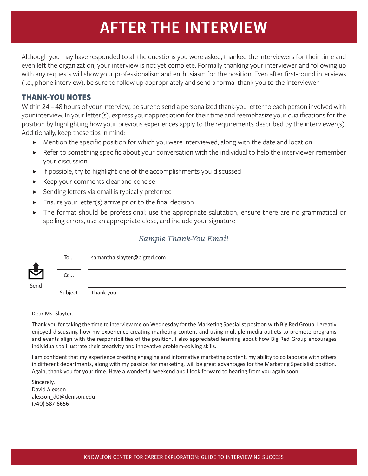### AFTER THE INTERVIEW

Although you may have responded to all the questions you were asked, thanked the interviewers for their time and even left the organization, your interview is not yet complete. Formally thanking your interviewer and following up with any requests will show your professionalism and enthusiasm for the position. Even after first-round interviews (i.e., phone interview), be sure to follow up appropriately and send a formal thank-you to the interviewer.

#### **THANK-YOU NOTES**

Within 24 – 48 hours of your interview, be sure to send a personalized thank-you letter to each person involved with your interview. In your letter(s), express your appreciation for their time and reemphasize your qualifications for the position by highlighting how your previous experiences apply to the requirements described by the interviewer(s). Additionally, keep these tips in mind:

- ▶ Mention the specific position for which you were interviewed, along with the date and location
- ▶ Refer to something specific about your conversation with the individual to help the interviewer remember your discussion
- ▶ If possible, try to highlight one of the accomplishments you discussed
- ▶ Keep your comments clear and concise
- ▶ Sending letters via email is typically preferred
- $\blacktriangleright$  Ensure your letter(s) arrive prior to the final decision
- ▶ The format should be professional; use the appropriate salutation, ensure there are no grammatical or spelling errors, use an appropriate close, and include your signature

#### *Sample Thank-You Email*

|      | To      | samantha.slayter@bigred.com |
|------|---------|-----------------------------|
|      | Cc      |                             |
| Send |         |                             |
|      | Subject | Thank you                   |

Dear Ms. Slayter,

Thank you for taking the time to interview me on Wednesday for the Marketing Specialist position with Big Red Group. I greatly enjoyed discussing how my experience creating marketing content and using multiple media outlets to promote programs and events align with the responsibilities of the position. I also appreciated learning about how Big Red Group encourages individuals to illustrate their creativity and innovative problem-solving skills.

I am confident that my experience creating engaging and informative marketing content, my ability to collaborate with others in different departments, along with my passion for marketing, will be great advantages for the Marketing Specialist position. Again, thank you for your time. Have a wonderful weekend and I look forward to hearing from you again soon.

Sincerely, David Alexson alexson\_d0@denison.edu (740) 587-6656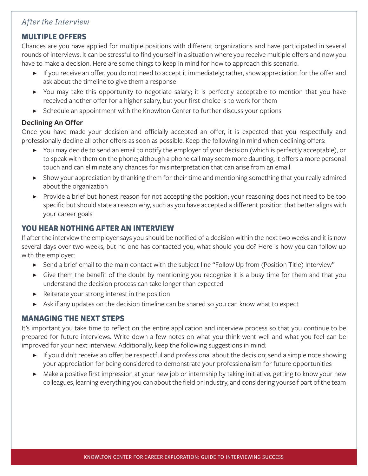#### *After the Interview*

#### **MULTIPLE OFFERS**

Chances are you have applied for multiple positions with different organizations and have participated in several rounds of interviews. It can be stressful to find yourself in a situation where you receive multiple offers and now you have to make a decision. Here are some things to keep in mind for how to approach this scenario.

- ▶ If you receive an offer, you do not need to accept it immediately; rather, show appreciation for the offer and ask about the timeline to give them a response
- ▶ You may take this opportunity to negotiate salary; it is perfectly acceptable to mention that you have received another offer for a higher salary, but your first choice is to work for them
- ▶ Schedule an appointment with the Knowlton Center to further discuss your options

#### **Declining An Offer**

Once you have made your decision and officially accepted an offer, it is expected that you respectfully and professionally decline all other offers as soon as possible. Keep the following in mind when declining offers:

- ▶ You may decide to send an email to notify the employer of your decision (which is perfectly acceptable), or to speak with them on the phone; although a phone call may seem more daunting, it offers a more personal touch and can eliminate any chances for misinterpretation that can arise from an email
- ▶ Show your appreciation by thanking them for their time and mentioning something that you really admired about the organization
- ▶ Provide a brief but honest reason for not accepting the position; your reasoning does not need to be too specific but should state a reason why, such as you have accepted a different position that better aligns with your career goals

#### **YOU HEAR NOTHING AFTER AN INTERVIEW**

If after the interview the employer says you should be notified of a decision within the next two weeks and it is now several days over two weeks, but no one has contacted you, what should you do? Here is how you can follow up with the employer:

- ▶ Send a brief email to the main contact with the subject line "Follow Up from (Position Title) Interview"
- ▶ Give them the benefit of the doubt by mentioning you recognize it is a busy time for them and that you understand the decision process can take longer than expected
- ▶ Reiterate your strong interest in the position
- ▶ Ask if any updates on the decision timeline can be shared so you can know what to expect

#### **MANAGING THE NEXT STEPS**

It's important you take time to reflect on the entire application and interview process so that you continue to be prepared for future interviews. Write down a few notes on what you think went well and what you feel can be improved for your next interview. Additionally, keep the following suggestions in mind:

- ▶ If you didn't receive an offer, be respectful and professional about the decision; send a simple note showing your appreciation for being considered to demonstrate your professionalism for future opportunities
- ▶ Make a positive first impression at your new job or internship by taking initiative, getting to know your new colleagues, learning everything you can about the field or industry, and considering yourself part of the team